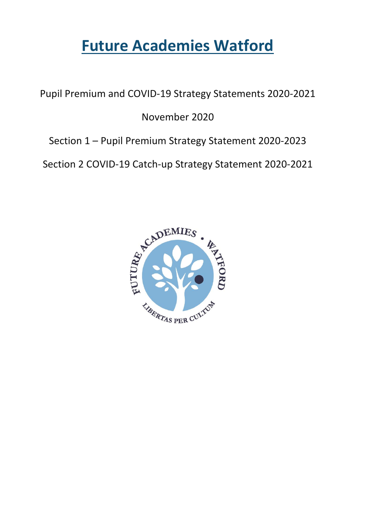# **Future Academies Watford**

Pupil Premium and COVID-19 Strategy Statements 2020-2021

November 2020

Section 1 – Pupil Premium Strategy Statement 2020-2023

Section 2 COVID-19 Catch-up Strategy Statement 2020-2021

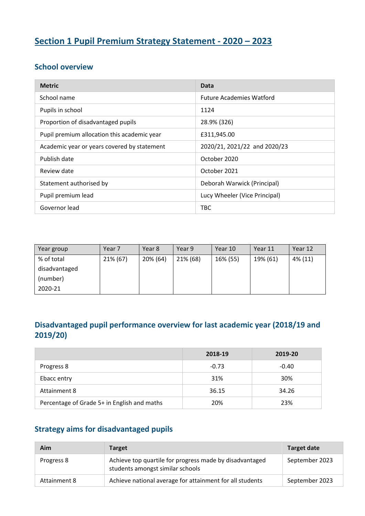## **Section 1 Pupil Premium Strategy Statement - 2020 – 2023**

#### **School overview**

| <b>Metric</b>                               | Data                            |
|---------------------------------------------|---------------------------------|
| School name                                 | <b>Future Academies Watford</b> |
| Pupils in school                            | 1124                            |
| Proportion of disadvantaged pupils          | 28.9% (326)                     |
| Pupil premium allocation this academic year | £311,945.00                     |
| Academic year or years covered by statement | 2020/21, 2021/22 and 2020/23    |
| Publish date                                | October 2020                    |
| Review date                                 | October 2021                    |
| Statement authorised by                     | Deborah Warwick (Principal)     |
| Pupil premium lead                          | Lucy Wheeler (Vice Principal)   |
| Governor lead                               | TBC                             |

| Year group    | Year <sub>7</sub> | Year 8   | Year 9   | Year 10  | Year 11  | Year 12 |
|---------------|-------------------|----------|----------|----------|----------|---------|
| % of total    | 21% (67)          | 20% (64) | 21% (68) | 16% (55) | 19% (61) | 4% (11) |
| disadvantaged |                   |          |          |          |          |         |
| (number)      |                   |          |          |          |          |         |
| 2020-21       |                   |          |          |          |          |         |

### **Disadvantaged pupil performance overview for last academic year (2018/19 and 2019/20)**

|                                             | 2018-19 | 2019-20 |
|---------------------------------------------|---------|---------|
| Progress 8                                  | $-0.73$ | $-0.40$ |
| Ebacc entry                                 | 31%     | 30%     |
| Attainment 8                                | 36.15   | 34.26   |
| Percentage of Grade 5+ in English and maths | 20%     | 23%     |

### **Strategy aims for disadvantaged pupils**

| Aim          | <b>Target</b>                                                                               | <b>Target date</b> |
|--------------|---------------------------------------------------------------------------------------------|--------------------|
| Progress 8   | Achieve top quartile for progress made by disadvantaged<br>students amongst similar schools | September 2023     |
| Attainment 8 | Achieve national average for attainment for all students                                    | September 2023     |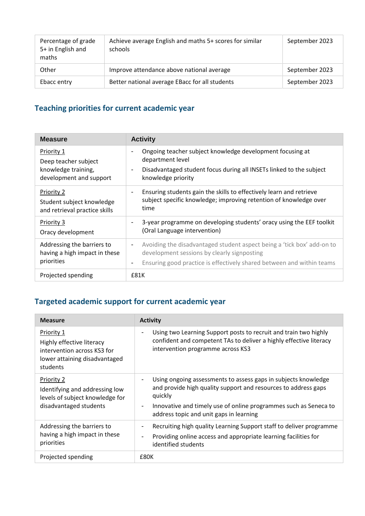| Percentage of grade<br>5+ in English and<br>maths | Achieve average English and maths 5+ scores for similar<br>schools | September 2023 |
|---------------------------------------------------|--------------------------------------------------------------------|----------------|
| Other                                             | Improve attendance above national average                          | September 2023 |
| Ebacc entry                                       | Better national average EBacc for all students                     | September 2023 |

# **Teaching priorities for current academic year**

| <b>Measure</b>                                                                       | <b>Activity</b>                                                                                                                                                                                                       |
|--------------------------------------------------------------------------------------|-----------------------------------------------------------------------------------------------------------------------------------------------------------------------------------------------------------------------|
| Priority 1<br>Deep teacher subject<br>knowledge training,<br>development and support | Ongoing teacher subject knowledge development focusing at<br>۰<br>department level<br>Disadvantaged student focus during all INSETs linked to the subject<br>$\overline{\phantom{a}}$<br>knowledge priority           |
| Priority 2<br>Student subject knowledge<br>and retrieval practice skills             | Ensuring students gain the skills to effectively learn and retrieve<br>$\qquad \qquad \blacksquare$<br>subject specific knowledge; improving retention of knowledge over<br>time                                      |
| Priority 3<br>Oracy development                                                      | 3-year programme on developing students' oracy using the EEF toolkit<br>-<br>(Oral Language intervention)                                                                                                             |
| Addressing the barriers to<br>having a high impact in these<br>priorities            | Avoiding the disadvantaged student aspect being a 'tick box' add-on to<br>-<br>development sessions by clearly signposting<br>Ensuring good practice is effectively shared between and within teams<br>$\overline{a}$ |
| Projected spending                                                                   | £81K                                                                                                                                                                                                                  |

# **Targeted academic support for current academic year**

| <b>Measure</b>                                                                                                      | <b>Activity</b>                                                                                                                                                                                                                                                                        |
|---------------------------------------------------------------------------------------------------------------------|----------------------------------------------------------------------------------------------------------------------------------------------------------------------------------------------------------------------------------------------------------------------------------------|
| Priority 1<br>Highly effective literacy<br>intervention across KS3 for<br>lower attaining disadvantaged<br>students | Using two Learning Support posts to recruit and train two highly<br>confident and competent TAs to deliver a highly effective literacy<br>intervention programme across KS3                                                                                                            |
| Priority 2<br>Identifying and addressing low<br>levels of subject knowledge for<br>disadvantaged students           | Using ongoing assessments to assess gaps in subjects knowledge<br>and provide high quality support and resources to address gaps<br>quickly<br>Innovative and timely use of online programmes such as Seneca to<br>$\overline{\phantom{a}}$<br>address topic and unit gaps in learning |
| Addressing the barriers to<br>having a high impact in these<br>priorities                                           | Recruiting high quality Learning Support staff to deliver programme<br>Providing online access and appropriate learning facilities for<br>$\blacksquare$<br>identified students                                                                                                        |
| Projected spending                                                                                                  | £80K                                                                                                                                                                                                                                                                                   |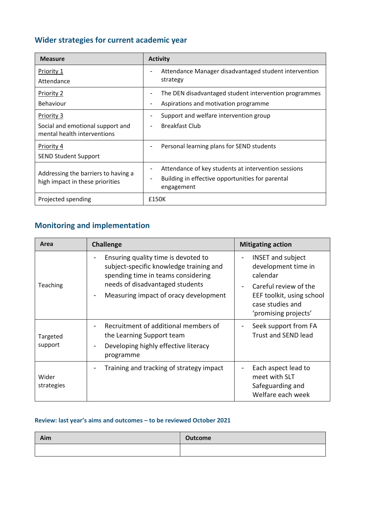# **Wider strategies for current academic year**

| <b>Measure</b>                                                         | <b>Activity</b>                                                                                                       |
|------------------------------------------------------------------------|-----------------------------------------------------------------------------------------------------------------------|
| Priority 1                                                             | Attendance Manager disadvantaged student intervention<br>strategy                                                     |
| Attendance                                                             |                                                                                                                       |
| <b>Priority 2</b>                                                      | The DEN disadvantaged student intervention programmes                                                                 |
| Behaviour                                                              | Aspirations and motivation programme                                                                                  |
| Priority 3                                                             | Support and welfare intervention group                                                                                |
| Social and emotional support and<br>mental health interventions        | <b>Breakfast Club</b>                                                                                                 |
| Priority 4                                                             | Personal learning plans for SEND students                                                                             |
| <b>SEND Student Support</b>                                            |                                                                                                                       |
| Addressing the barriers to having a<br>high impact in these priorities | Attendance of key students at intervention sessions<br>Building in effective opportunities for parental<br>engagement |
| Projected spending                                                     | £150K                                                                                                                 |

### **Monitoring and implementation**

| Area                | <b>Challenge</b>                                                                                                                                                                                      | <b>Mitigating action</b>                                                                                                                                                                          |
|---------------------|-------------------------------------------------------------------------------------------------------------------------------------------------------------------------------------------------------|---------------------------------------------------------------------------------------------------------------------------------------------------------------------------------------------------|
| Teaching            | Ensuring quality time is devoted to<br>subject-specific knowledge training and<br>spending time in teams considering<br>needs of disadvantaged students<br>Measuring impact of oracy development<br>۰ | <b>INSET and subject</b><br>$\overline{a}$<br>development time in<br>calendar<br>Careful review of the<br>$\blacksquare$<br>EEF toolkit, using school<br>case studies and<br>'promising projects' |
| Targeted<br>support | Recruitment of additional members of<br>the Learning Support team<br>Developing highly effective literacy<br>-<br>programme                                                                           | Seek support from FA<br>$\overline{\phantom{a}}$<br><b>Trust and SEND lead</b>                                                                                                                    |
| Wider<br>strategies | Training and tracking of strategy impact                                                                                                                                                              | Each aspect lead to<br>-<br>meet with SLT<br>Safeguarding and<br>Welfare each week                                                                                                                |

#### **Review: last year's aims and outcomes – to be reviewed October 2021**

| Aim | <b>Outcome</b> |
|-----|----------------|
|     |                |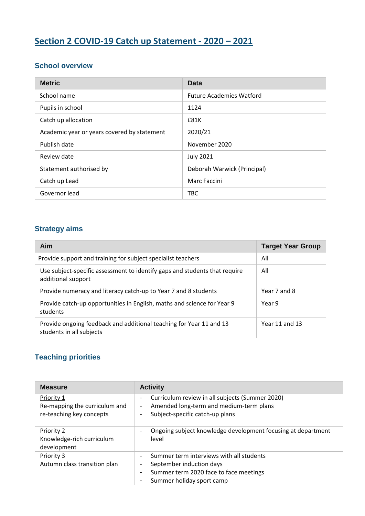# **Section 2 COVID-19 Catch up Statement - 2020 – 2021**

### **School overview**

| <b>Metric</b>                               | Data                            |
|---------------------------------------------|---------------------------------|
| School name                                 | <b>Future Academies Watford</b> |
| Pupils in school                            | 1124                            |
| Catch up allocation                         | £81K                            |
| Academic year or years covered by statement | 2020/21                         |
| Publish date                                | November 2020                   |
| Review date                                 | <b>July 2021</b>                |
| Statement authorised by                     | Deborah Warwick (Principal)     |
| Catch up Lead                               | Marc Faccini                    |
| Governor lead                               | <b>TBC</b>                      |

### **Strategy aims**

| Aim                                                                                              | <b>Target Year Group</b> |
|--------------------------------------------------------------------------------------------------|--------------------------|
| Provide support and training for subject specialist teachers                                     | All                      |
| Use subject-specific assessment to identify gaps and students that require<br>additional support | All                      |
| Provide numeracy and literacy catch-up to Year 7 and 8 students                                  | Year 7 and 8             |
| Provide catch-up opportunities in English, maths and science for Year 9<br>students              | Year 9                   |
| Provide ongoing feedback and additional teaching for Year 11 and 13<br>students in all subjects  | Year 11 and 13           |

#### **Teaching priorities**

| <b>Measure</b>                                                          | <b>Activity</b>                                                                                                                                                                                                                 |
|-------------------------------------------------------------------------|---------------------------------------------------------------------------------------------------------------------------------------------------------------------------------------------------------------------------------|
| Priority 1<br>Re-mapping the curriculum and<br>re-teaching key concepts | Curriculum review in all subjects (Summer 2020)<br>-<br>Amended long-term and medium-term plans<br>$\overline{\phantom{0}}$<br>Subject-specific catch-up plans                                                                  |
| Priority 2<br>Knowledge-rich curriculum<br>development                  | Ongoing subject knowledge development focusing at department<br>$\overline{\phantom{0}}$<br>level                                                                                                                               |
| Priority 3<br>Autumn class transition plan                              | Summer term interviews with all students<br>$\overline{\phantom{0}}$<br>September induction days<br>$\overline{\phantom{0}}$<br>Summer term 2020 face to face meetings<br>$\overline{\phantom{0}}$<br>Summer holiday sport camp |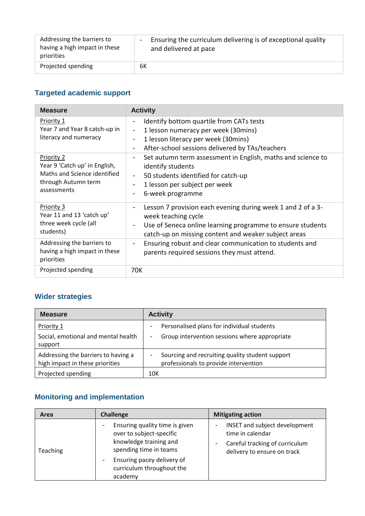| Addressing the barriers to    | Ensuring the curriculum delivering is of exceptional quality |
|-------------------------------|--------------------------------------------------------------|
| having a high impact in these | $\sim$                                                       |
| priorities                    | and delivered at pace                                        |
| Projected spending            | 6К                                                           |

## **Targeted academic support**

| <b>Measure</b>                                                                                                    | <b>Activity</b>                                                                                                                                                                                                                                                         |
|-------------------------------------------------------------------------------------------------------------------|-------------------------------------------------------------------------------------------------------------------------------------------------------------------------------------------------------------------------------------------------------------------------|
| Priority 1<br>Year 7 and Year 8 catch-up in<br>literacy and numeracy                                              | Identify bottom quartile from CATs tests<br>۰<br>1 lesson numeracy per week (30mins)<br>$\overline{\phantom{a}}$<br>1 lesson literacy per week (30 mins)<br>$\overline{\phantom{a}}$<br>After-school sessions delivered by TAs/teachers<br>$\qquad \qquad \blacksquare$ |
| Priority 2<br>Year 9 'Catch up' in English,<br>Maths and Science identified<br>through Autumn term<br>assessments | Set autumn term assessment in English, maths and science to<br>$\blacksquare$<br>identify students<br>50 students identified for catch-up<br>1 lesson per subject per week<br>6-week programme                                                                          |
| Priority 3<br>Year 11 and 13 'catch up'<br>three week cycle (all<br>students)                                     | Lesson 7 provision each evening during week 1 and 2 of a 3-<br>-<br>week teaching cycle<br>Use of Seneca online learning programme to ensure students<br>۰<br>catch-up on missing content and weaker subject areas                                                      |
| Addressing the barriers to<br>having a high impact in these<br>priorities                                         | Ensuring robust and clear communication to students and<br>$\qquad \qquad \blacksquare$<br>parents required sessions they must attend.                                                                                                                                  |
| Projected spending                                                                                                | 70K                                                                                                                                                                                                                                                                     |

## **Wider strategies**

| <b>Measure</b>                                                         | <b>Activity</b>                                                                             |
|------------------------------------------------------------------------|---------------------------------------------------------------------------------------------|
| Priority 1<br>Social, emotional and mental health<br>support           | Personalised plans for individual students<br>Group intervention sessions where appropriate |
| Addressing the barriers to having a<br>high impact in these priorities | Sourcing and recruiting quality student support<br>professionals to provide intervention    |
| Projected spending                                                     | 10K                                                                                         |

# **Monitoring and implementation**

| Area     | <b>Challenge</b>                                                                                               | <b>Mitigating action</b>                                                                                           |
|----------|----------------------------------------------------------------------------------------------------------------|--------------------------------------------------------------------------------------------------------------------|
| Teaching | Ensuring quality time is given<br>over to subject-specific<br>knowledge training and<br>spending time in teams | INSET and subject development<br>time in calendar<br>Careful tracking of curriculum<br>delivery to ensure on track |
|          | Ensuring pacey delivery of<br>curriculum throughout the<br>academy                                             |                                                                                                                    |